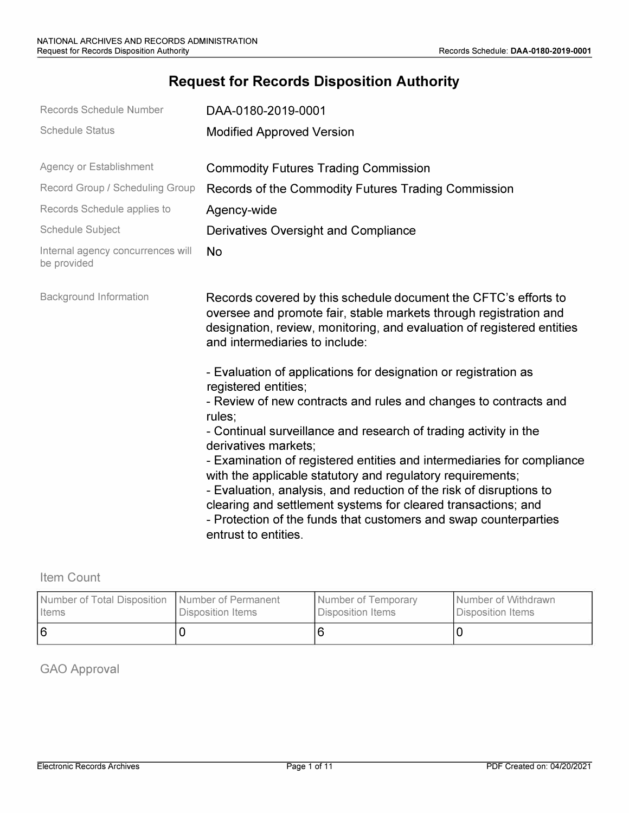# **Request for Records Disposition Authority**

| Records Schedule Number                          | DAA-0180-2019-0001                                                                                                                                                                                                                                                                                                                                                                                                                                                   |  |
|--------------------------------------------------|----------------------------------------------------------------------------------------------------------------------------------------------------------------------------------------------------------------------------------------------------------------------------------------------------------------------------------------------------------------------------------------------------------------------------------------------------------------------|--|
| <b>Schedule Status</b>                           | <b>Modified Approved Version</b>                                                                                                                                                                                                                                                                                                                                                                                                                                     |  |
| Agency or Establishment                          | <b>Commodity Futures Trading Commission</b>                                                                                                                                                                                                                                                                                                                                                                                                                          |  |
| Record Group / Scheduling Group                  | Records of the Commodity Futures Trading Commission                                                                                                                                                                                                                                                                                                                                                                                                                  |  |
| Records Schedule applies to                      | Agency-wide                                                                                                                                                                                                                                                                                                                                                                                                                                                          |  |
| <b>Schedule Subject</b>                          | Derivatives Oversight and Compliance                                                                                                                                                                                                                                                                                                                                                                                                                                 |  |
| Internal agency concurrences will<br>be provided | <b>No</b>                                                                                                                                                                                                                                                                                                                                                                                                                                                            |  |
| <b>Background Information</b>                    | Records covered by this schedule document the CFTC's efforts to<br>oversee and promote fair, stable markets through registration and<br>designation, review, monitoring, and evaluation of registered entities<br>and intermediaries to include:                                                                                                                                                                                                                     |  |
|                                                  | - Evaluation of applications for designation or registration as<br>registered entities;<br>- Review of new contracts and rules and changes to contracts and<br>rules;                                                                                                                                                                                                                                                                                                |  |
|                                                  | - Continual surveillance and research of trading activity in the<br>derivatives markets;<br>- Examination of registered entities and intermediaries for compliance<br>with the applicable statutory and regulatory requirements;<br>- Evaluation, analysis, and reduction of the risk of disruptions to<br>clearing and settlement systems for cleared transactions; and<br>- Protection of the funds that customers and swap counterparties<br>entrust to entities. |  |

Item Count

| Number of Total Disposition   Number of Permanent | Disposition Items | Number of Temporary | Number of Withdrawn |
|---------------------------------------------------|-------------------|---------------------|---------------------|
| <b>I</b> Items                                    |                   | Disposition Items   | Disposition Items   |
| 16                                                |                   |                     |                     |

GAO Approval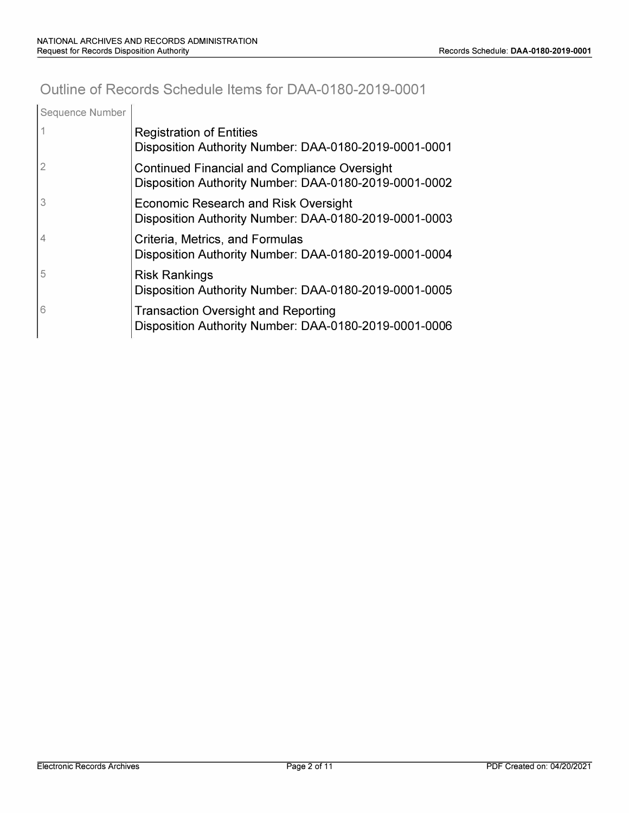# **Outline of Records Schedule Items for DAA-0180-2019-0001**

| Sequence Number |                                                                                                              |
|-----------------|--------------------------------------------------------------------------------------------------------------|
|                 | <b>Registration of Entities</b><br>Disposition Authority Number: DAA-0180-2019-0001-0001                     |
|                 | <b>Continued Financial and Compliance Oversight</b><br>Disposition Authority Number: DAA-0180-2019-0001-0002 |
| 3               | Economic Research and Risk Oversight<br>Disposition Authority Number: DAA-0180-2019-0001-0003                |
|                 | Criteria, Metrics, and Formulas<br>Disposition Authority Number: DAA-0180-2019-0001-0004                     |
| 5               | <b>Risk Rankings</b><br>Disposition Authority Number: DAA-0180-2019-0001-0005                                |
| 6               | <b>Transaction Oversight and Reporting</b><br>Disposition Authority Number: DAA-0180-2019-0001-0006          |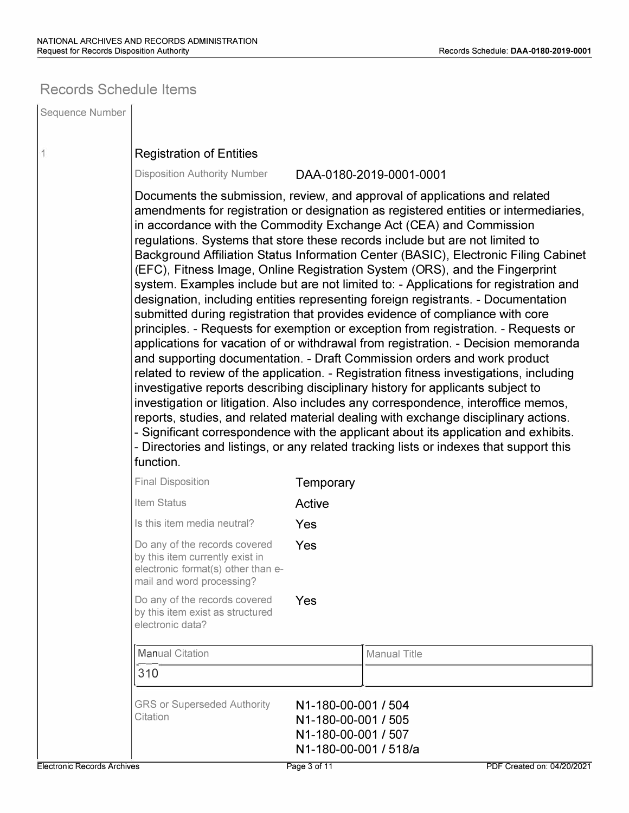# **Records Schedule Items**

| Sequence Number                    |                                                                                                                                                                                                                                                                                                                                                                                                                                                                                                                                                                                                                                                                                                                                                                                                                                                                                                                                                                                                                                                                                                                                                                                                                                                                                                                                                                                                                                                                                                                                                                           |                                                                                            |                            |  |  |
|------------------------------------|---------------------------------------------------------------------------------------------------------------------------------------------------------------------------------------------------------------------------------------------------------------------------------------------------------------------------------------------------------------------------------------------------------------------------------------------------------------------------------------------------------------------------------------------------------------------------------------------------------------------------------------------------------------------------------------------------------------------------------------------------------------------------------------------------------------------------------------------------------------------------------------------------------------------------------------------------------------------------------------------------------------------------------------------------------------------------------------------------------------------------------------------------------------------------------------------------------------------------------------------------------------------------------------------------------------------------------------------------------------------------------------------------------------------------------------------------------------------------------------------------------------------------------------------------------------------------|--------------------------------------------------------------------------------------------|----------------------------|--|--|
| 1                                  | <b>Registration of Entities</b>                                                                                                                                                                                                                                                                                                                                                                                                                                                                                                                                                                                                                                                                                                                                                                                                                                                                                                                                                                                                                                                                                                                                                                                                                                                                                                                                                                                                                                                                                                                                           |                                                                                            |                            |  |  |
|                                    | <b>Disposition Authority Number</b><br>DAA-0180-2019-0001-0001                                                                                                                                                                                                                                                                                                                                                                                                                                                                                                                                                                                                                                                                                                                                                                                                                                                                                                                                                                                                                                                                                                                                                                                                                                                                                                                                                                                                                                                                                                            |                                                                                            |                            |  |  |
|                                    | Documents the submission, review, and approval of applications and related<br>amendments for registration or designation as registered entities or intermediaries,<br>in accordance with the Commodity Exchange Act (CEA) and Commission<br>regulations. Systems that store these records include but are not limited to<br>Background Affiliation Status Information Center (BASIC), Electronic Filing Cabinet<br>(EFC), Fitness Image, Online Registration System (ORS), and the Fingerprint<br>system. Examples include but are not limited to: - Applications for registration and<br>designation, including entities representing foreign registrants. - Documentation<br>submitted during registration that provides evidence of compliance with core<br>principles. - Requests for exemption or exception from registration. - Requests or<br>applications for vacation of or withdrawal from registration. - Decision memoranda<br>and supporting documentation. - Draft Commission orders and work product<br>related to review of the application. - Registration fitness investigations, including<br>investigative reports describing disciplinary history for applicants subject to<br>investigation or litigation. Also includes any correspondence, interoffice memos,<br>reports, studies, and related material dealing with exchange disciplinary actions.<br>- Significant correspondence with the applicant about its application and exhibits.<br>- Directories and listings, or any related tracking lists or indexes that support this<br>function. |                                                                                            |                            |  |  |
|                                    | <b>Final Disposition</b>                                                                                                                                                                                                                                                                                                                                                                                                                                                                                                                                                                                                                                                                                                                                                                                                                                                                                                                                                                                                                                                                                                                                                                                                                                                                                                                                                                                                                                                                                                                                                  | Temporary                                                                                  |                            |  |  |
|                                    | Item Status                                                                                                                                                                                                                                                                                                                                                                                                                                                                                                                                                                                                                                                                                                                                                                                                                                                                                                                                                                                                                                                                                                                                                                                                                                                                                                                                                                                                                                                                                                                                                               | Active                                                                                     |                            |  |  |
|                                    | Is this item media neutral?                                                                                                                                                                                                                                                                                                                                                                                                                                                                                                                                                                                                                                                                                                                                                                                                                                                                                                                                                                                                                                                                                                                                                                                                                                                                                                                                                                                                                                                                                                                                               | Yes                                                                                        |                            |  |  |
|                                    | Do any of the records covered<br>by this item currently exist in<br>electronic format(s) other than e-<br>mail and word processing?                                                                                                                                                                                                                                                                                                                                                                                                                                                                                                                                                                                                                                                                                                                                                                                                                                                                                                                                                                                                                                                                                                                                                                                                                                                                                                                                                                                                                                       | Yes                                                                                        |                            |  |  |
|                                    | Do any of the records covered<br>by this item exist as structured<br>electronic data?                                                                                                                                                                                                                                                                                                                                                                                                                                                                                                                                                                                                                                                                                                                                                                                                                                                                                                                                                                                                                                                                                                                                                                                                                                                                                                                                                                                                                                                                                     | Yes                                                                                        |                            |  |  |
|                                    | <b>Manual Citation</b>                                                                                                                                                                                                                                                                                                                                                                                                                                                                                                                                                                                                                                                                                                                                                                                                                                                                                                                                                                                                                                                                                                                                                                                                                                                                                                                                                                                                                                                                                                                                                    |                                                                                            | <b>Manual Title</b>        |  |  |
|                                    | 310                                                                                                                                                                                                                                                                                                                                                                                                                                                                                                                                                                                                                                                                                                                                                                                                                                                                                                                                                                                                                                                                                                                                                                                                                                                                                                                                                                                                                                                                                                                                                                       |                                                                                            |                            |  |  |
|                                    | <b>GRS or Superseded Authority</b><br>Citation                                                                                                                                                                                                                                                                                                                                                                                                                                                                                                                                                                                                                                                                                                                                                                                                                                                                                                                                                                                                                                                                                                                                                                                                                                                                                                                                                                                                                                                                                                                            | N1-180-00-001 / 504<br>N1-180-00-001 / 505<br>N1-180-00-001 / 507<br>N1-180-00-001 / 518/a |                            |  |  |
| <b>Electronic Records Archives</b> |                                                                                                                                                                                                                                                                                                                                                                                                                                                                                                                                                                                                                                                                                                                                                                                                                                                                                                                                                                                                                                                                                                                                                                                                                                                                                                                                                                                                                                                                                                                                                                           | Page 3 of 11                                                                               | PDF Created on: 04/20/2021 |  |  |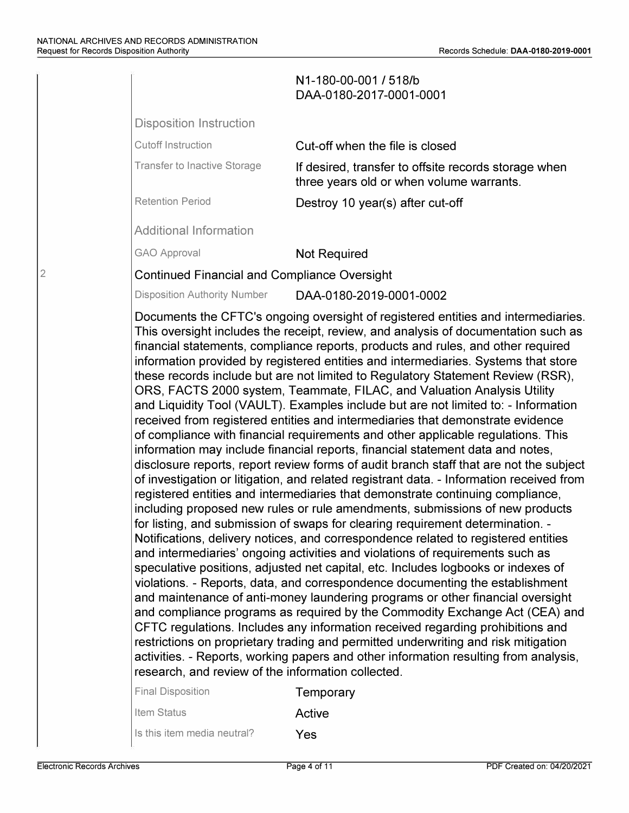|                                                                                               | N1-180-00-001 / 518/b<br>DAA-0180-2017-0001-0001                                                                                                                                                                                                                                                                                                                                                                                                                                                                                                                                                                                                                                                                                                                                                                                                                                                                                                                                                                                                                                                                                                                                                                                                                                                                                                                                                                                                                                                                                                                                                                                                                                                                                                                                                                                                                                                                                                                                                                        |
|-----------------------------------------------------------------------------------------------|-------------------------------------------------------------------------------------------------------------------------------------------------------------------------------------------------------------------------------------------------------------------------------------------------------------------------------------------------------------------------------------------------------------------------------------------------------------------------------------------------------------------------------------------------------------------------------------------------------------------------------------------------------------------------------------------------------------------------------------------------------------------------------------------------------------------------------------------------------------------------------------------------------------------------------------------------------------------------------------------------------------------------------------------------------------------------------------------------------------------------------------------------------------------------------------------------------------------------------------------------------------------------------------------------------------------------------------------------------------------------------------------------------------------------------------------------------------------------------------------------------------------------------------------------------------------------------------------------------------------------------------------------------------------------------------------------------------------------------------------------------------------------------------------------------------------------------------------------------------------------------------------------------------------------------------------------------------------------------------------------------------------------|
| <b>Disposition Instruction</b>                                                                |                                                                                                                                                                                                                                                                                                                                                                                                                                                                                                                                                                                                                                                                                                                                                                                                                                                                                                                                                                                                                                                                                                                                                                                                                                                                                                                                                                                                                                                                                                                                                                                                                                                                                                                                                                                                                                                                                                                                                                                                                         |
| <b>Cutoff Instruction</b>                                                                     | Cut-off when the file is closed                                                                                                                                                                                                                                                                                                                                                                                                                                                                                                                                                                                                                                                                                                                                                                                                                                                                                                                                                                                                                                                                                                                                                                                                                                                                                                                                                                                                                                                                                                                                                                                                                                                                                                                                                                                                                                                                                                                                                                                         |
| <b>Transfer to Inactive Storage</b>                                                           | If desired, transfer to offsite records storage when<br>three years old or when volume warrants.                                                                                                                                                                                                                                                                                                                                                                                                                                                                                                                                                                                                                                                                                                                                                                                                                                                                                                                                                                                                                                                                                                                                                                                                                                                                                                                                                                                                                                                                                                                                                                                                                                                                                                                                                                                                                                                                                                                        |
| <b>Retention Period</b>                                                                       | Destroy 10 year(s) after cut-off                                                                                                                                                                                                                                                                                                                                                                                                                                                                                                                                                                                                                                                                                                                                                                                                                                                                                                                                                                                                                                                                                                                                                                                                                                                                                                                                                                                                                                                                                                                                                                                                                                                                                                                                                                                                                                                                                                                                                                                        |
| <b>Additional Information</b>                                                                 |                                                                                                                                                                                                                                                                                                                                                                                                                                                                                                                                                                                                                                                                                                                                                                                                                                                                                                                                                                                                                                                                                                                                                                                                                                                                                                                                                                                                                                                                                                                                                                                                                                                                                                                                                                                                                                                                                                                                                                                                                         |
| <b>GAO Approval</b>                                                                           | <b>Not Required</b>                                                                                                                                                                                                                                                                                                                                                                                                                                                                                                                                                                                                                                                                                                                                                                                                                                                                                                                                                                                                                                                                                                                                                                                                                                                                                                                                                                                                                                                                                                                                                                                                                                                                                                                                                                                                                                                                                                                                                                                                     |
| <b>Continued Financial and Compliance Oversight</b>                                           |                                                                                                                                                                                                                                                                                                                                                                                                                                                                                                                                                                                                                                                                                                                                                                                                                                                                                                                                                                                                                                                                                                                                                                                                                                                                                                                                                                                                                                                                                                                                                                                                                                                                                                                                                                                                                                                                                                                                                                                                                         |
| <b>Disposition Authority Number</b>                                                           | DAA-0180-2019-0001-0002                                                                                                                                                                                                                                                                                                                                                                                                                                                                                                                                                                                                                                                                                                                                                                                                                                                                                                                                                                                                                                                                                                                                                                                                                                                                                                                                                                                                                                                                                                                                                                                                                                                                                                                                                                                                                                                                                                                                                                                                 |
| research, and review of the information collected.<br><b>Final Disposition</b><br>Item Status | This oversight includes the receipt, review, and analysis of documentation such as<br>financial statements, compliance reports, products and rules, and other required<br>information provided by registered entities and intermediaries. Systems that store<br>these records include but are not limited to Regulatory Statement Review (RSR),<br>ORS, FACTS 2000 system, Teammate, FILAC, and Valuation Analysis Utility<br>and Liquidity Tool (VAULT). Examples include but are not limited to: - Information<br>received from registered entities and intermediaries that demonstrate evidence<br>of compliance with financial requirements and other applicable regulations. This<br>information may include financial reports, financial statement data and notes,<br>disclosure reports, report review forms of audit branch staff that are not the subject<br>of investigation or litigation, and related registrant data. - Information received from<br>registered entities and intermediaries that demonstrate continuing compliance,<br>including proposed new rules or rule amendments, submissions of new products<br>for listing, and submission of swaps for clearing requirement determination. -<br>Notifications, delivery notices, and correspondence related to registered entities<br>and intermediaries' ongoing activities and violations of requirements such as<br>speculative positions, adjusted net capital, etc. Includes logbooks or indexes of<br>violations. - Reports, data, and correspondence documenting the establishment<br>and maintenance of anti-money laundering programs or other financial oversight<br>and compliance programs as required by the Commodity Exchange Act (CEA) and<br>CFTC regulations. Includes any information received regarding prohibitions and<br>restrictions on proprietary trading and permitted underwriting and risk mitigation<br>activities. - Reports, working papers and other information resulting from analysis,<br>Temporary<br>Active |

2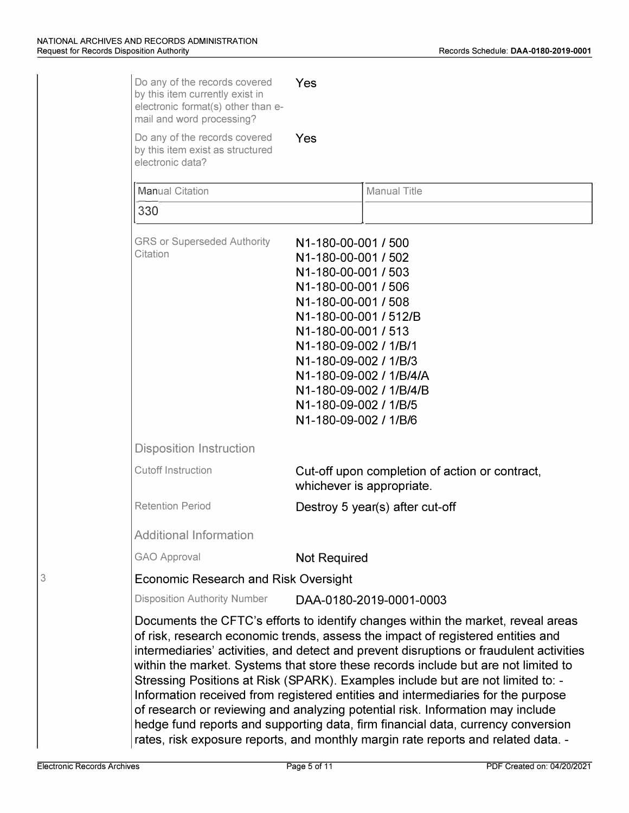| Do any of the records covered<br>by this item currently exist in<br>electronic format(s) other than e-<br>mail and word processing? | Yes                                                                                                                                                                                                                                                                                                                                                                                                                                                                                                                                                                                                                                                                                                                                                                                    |  |
|-------------------------------------------------------------------------------------------------------------------------------------|----------------------------------------------------------------------------------------------------------------------------------------------------------------------------------------------------------------------------------------------------------------------------------------------------------------------------------------------------------------------------------------------------------------------------------------------------------------------------------------------------------------------------------------------------------------------------------------------------------------------------------------------------------------------------------------------------------------------------------------------------------------------------------------|--|
| Do any of the records covered<br>by this item exist as structured<br>electronic data?                                               | Yes                                                                                                                                                                                                                                                                                                                                                                                                                                                                                                                                                                                                                                                                                                                                                                                    |  |
| <b>Manual Citation</b>                                                                                                              | <b>Manual Title</b>                                                                                                                                                                                                                                                                                                                                                                                                                                                                                                                                                                                                                                                                                                                                                                    |  |
| 330                                                                                                                                 |                                                                                                                                                                                                                                                                                                                                                                                                                                                                                                                                                                                                                                                                                                                                                                                        |  |
| <b>GRS or Superseded Authority</b><br>Citation                                                                                      | N1-180-00-001 / 500<br>N1-180-00-001 / 502<br>N1-180-00-001 / 503<br>N1-180-00-001 / 506<br>N1-180-00-001 / 508<br>N1-180-00-001 / 512/B<br>N1-180-00-001 / 513<br>N1-180-09-002 / 1/B/1<br>N1-180-09-002 / 1/B/3<br>N1-180-09-002 / 1/B/4/A<br>N1-180-09-002 / 1/B/4/B<br>N1-180-09-002 / 1/B/5<br>N1-180-09-002 / 1/B/6                                                                                                                                                                                                                                                                                                                                                                                                                                                              |  |
| <b>Disposition Instruction</b>                                                                                                      |                                                                                                                                                                                                                                                                                                                                                                                                                                                                                                                                                                                                                                                                                                                                                                                        |  |
| <b>Cutoff Instruction</b>                                                                                                           | Cut-off upon completion of action or contract,<br>whichever is appropriate.                                                                                                                                                                                                                                                                                                                                                                                                                                                                                                                                                                                                                                                                                                            |  |
| <b>Retention Period</b>                                                                                                             | Destroy 5 year(s) after cut-off                                                                                                                                                                                                                                                                                                                                                                                                                                                                                                                                                                                                                                                                                                                                                        |  |
| <b>Additional Information</b>                                                                                                       |                                                                                                                                                                                                                                                                                                                                                                                                                                                                                                                                                                                                                                                                                                                                                                                        |  |
| <b>GAO Approval</b>                                                                                                                 | <b>Not Required</b>                                                                                                                                                                                                                                                                                                                                                                                                                                                                                                                                                                                                                                                                                                                                                                    |  |
| <b>Economic Research and Risk Oversight</b>                                                                                         |                                                                                                                                                                                                                                                                                                                                                                                                                                                                                                                                                                                                                                                                                                                                                                                        |  |
| <b>Disposition Authority Number</b>                                                                                                 | DAA-0180-2019-0001-0003                                                                                                                                                                                                                                                                                                                                                                                                                                                                                                                                                                                                                                                                                                                                                                |  |
|                                                                                                                                     | Documents the CFTC's efforts to identify changes within the market, reveal areas<br>of risk, research economic trends, assess the impact of registered entities and<br>intermediaries' activities, and detect and prevent disruptions or fraudulent activities<br>within the market. Systems that store these records include but are not limited to<br>Stressing Positions at Risk (SPARK). Examples include but are not limited to: -<br>Information received from registered entities and intermediaries for the purpose<br>of research or reviewing and analyzing potential risk. Information may include<br>hedge fund reports and supporting data, firm financial data, currency conversion<br>rates, risk exposure reports, and monthly margin rate reports and related data. - |  |

3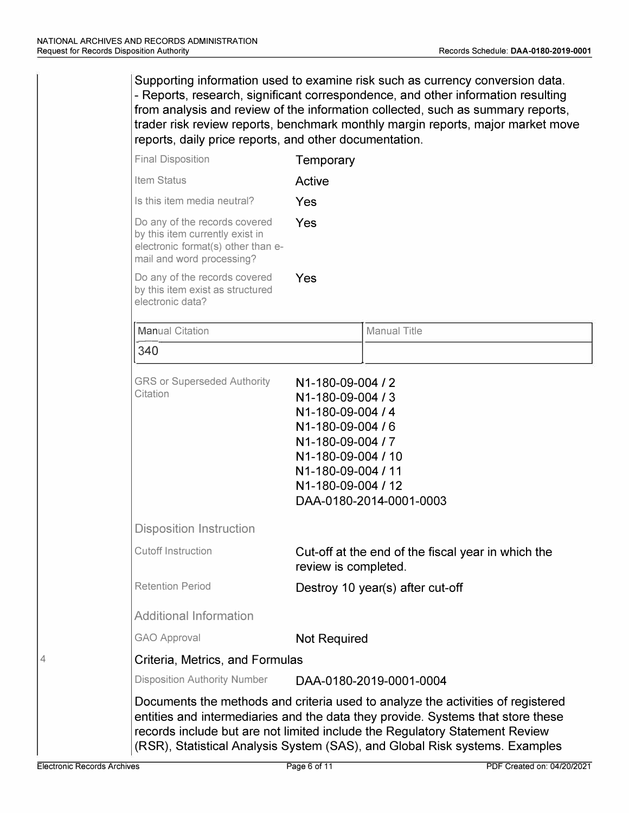340 Supporting information used to examine risk such as currency conversion data. - Reports, research, significant correspondence, and other information resulting from analysis and review of the information collected, such as summary reports, trader risk review reports, benchmark monthly margin reports, major market move reports, daily price reports, and other documentation. Final Disposition **Temporary** Item Status **Active** Is this item media neutral?  $Yes$ Do any of the records covered  $Y_{\text{ES}}$ by this item currently exist in electronic format(s) other than email and word processing? Do any of the records covered Yes by this item exist as structured electronic data? Manual Citation **Manual Title**  $\lfloor$ GRS or Superseded Authority **N**1-180-09-004 / 2 Citation **N**1-180-09-004 / 3 **N**1-180-09-004 / 4 **N**1-180-09-004 / 6 **N**1-180-09-004 / 7 N1-180-09-004 *I* 10 N1-180-09-004 *I* 11 N1-180-09-004 *I* 12 DAA-0180-2014-0001-0003 Disposition Instruction Cutoff Instruction **Cut-off at the end of the fiscal year in which the** review is completed. Retention Period **Destroy 10 year(s) after cut-off** Additional Information GAO Approval **Not Required** Criteria, Metrics, and Formulas Disposition Authority Number DAA-0180-2019-0001-0004 Documents the methods and criteria used to analyze the activities of registered entities and intermediaries and the data they provide. Systems that store these records include but are not limited include the Regulatory Statement Review (RSR), Statistical Analysis System (SAS), and Global Risk systems. Examples

 $\Delta$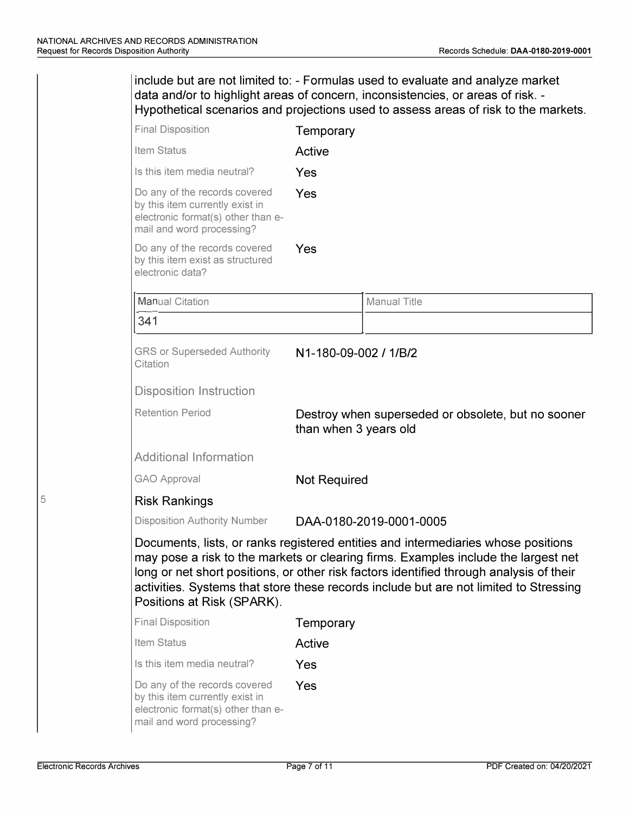| include but are not limited to: - Formulas used to evaluate and analyze market<br>data and/or to highlight areas of concern, inconsistencies, or areas of risk. -<br>Hypothetical scenarios and projections used to assess areas of risk to the markets. |                       |                                                                                                                                                                                                                                                                                                                                                             |  |
|----------------------------------------------------------------------------------------------------------------------------------------------------------------------------------------------------------------------------------------------------------|-----------------------|-------------------------------------------------------------------------------------------------------------------------------------------------------------------------------------------------------------------------------------------------------------------------------------------------------------------------------------------------------------|--|
| <b>Final Disposition</b>                                                                                                                                                                                                                                 | Temporary             |                                                                                                                                                                                                                                                                                                                                                             |  |
| Item Status                                                                                                                                                                                                                                              | Active                |                                                                                                                                                                                                                                                                                                                                                             |  |
| Is this item media neutral?                                                                                                                                                                                                                              | Yes                   |                                                                                                                                                                                                                                                                                                                                                             |  |
| Do any of the records covered<br>by this item currently exist in<br>electronic format(s) other than e-<br>mail and word processing?                                                                                                                      | Yes                   |                                                                                                                                                                                                                                                                                                                                                             |  |
| Do any of the records covered<br>by this item exist as structured<br>electronic data?                                                                                                                                                                    | Yes                   |                                                                                                                                                                                                                                                                                                                                                             |  |
| <b>Manual Citation</b>                                                                                                                                                                                                                                   |                       | <b>Manual Title</b>                                                                                                                                                                                                                                                                                                                                         |  |
| 341                                                                                                                                                                                                                                                      |                       |                                                                                                                                                                                                                                                                                                                                                             |  |
| <b>GRS or Superseded Authority</b><br>Citation                                                                                                                                                                                                           | N1-180-09-002 / 1/B/2 |                                                                                                                                                                                                                                                                                                                                                             |  |
| <b>Disposition Instruction</b>                                                                                                                                                                                                                           |                       |                                                                                                                                                                                                                                                                                                                                                             |  |
| <b>Retention Period</b>                                                                                                                                                                                                                                  | than when 3 years old | Destroy when superseded or obsolete, but no sooner                                                                                                                                                                                                                                                                                                          |  |
| <b>Additional Information</b>                                                                                                                                                                                                                            |                       |                                                                                                                                                                                                                                                                                                                                                             |  |
| <b>GAO Approval</b>                                                                                                                                                                                                                                      | <b>Not Required</b>   |                                                                                                                                                                                                                                                                                                                                                             |  |
| <b>Risk Rankings</b>                                                                                                                                                                                                                                     |                       |                                                                                                                                                                                                                                                                                                                                                             |  |
| <b>Disposition Authority Number</b>                                                                                                                                                                                                                      |                       | DAA-0180-2019-0001-0005                                                                                                                                                                                                                                                                                                                                     |  |
| Positions at Risk (SPARK).                                                                                                                                                                                                                               |                       | Documents, lists, or ranks registered entities and intermediaries whose positions<br>may pose a risk to the markets or clearing firms. Examples include the largest net<br>long or net short positions, or other risk factors identified through analysis of their<br>activities. Systems that store these records include but are not limited to Stressing |  |
| <b>Final Disposition</b>                                                                                                                                                                                                                                 | Temporary             |                                                                                                                                                                                                                                                                                                                                                             |  |
| Item Status                                                                                                                                                                                                                                              | Active                |                                                                                                                                                                                                                                                                                                                                                             |  |
| Is this item media neutral?                                                                                                                                                                                                                              | Yes                   |                                                                                                                                                                                                                                                                                                                                                             |  |
| Do any of the records covered<br>by this item currently exist in<br>electronic format(s) other than e-<br>mail and word processing?                                                                                                                      | Yes                   |                                                                                                                                                                                                                                                                                                                                                             |  |

5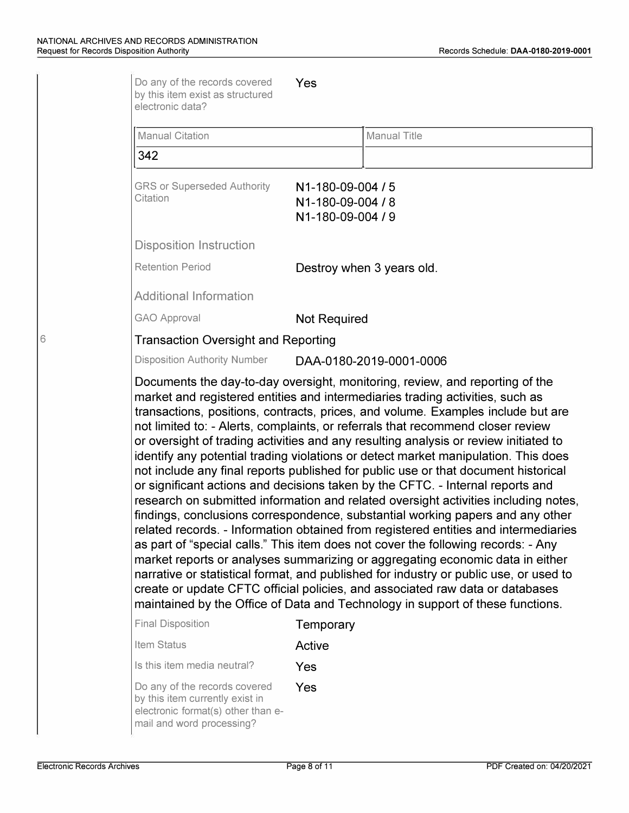| <b>Manual Citation</b>                                                 | <b>Manual Title</b>                                                                                                                                                                                                                                                                                                                                                                                                                                                                                                                                                                                                                                                                         |
|------------------------------------------------------------------------|---------------------------------------------------------------------------------------------------------------------------------------------------------------------------------------------------------------------------------------------------------------------------------------------------------------------------------------------------------------------------------------------------------------------------------------------------------------------------------------------------------------------------------------------------------------------------------------------------------------------------------------------------------------------------------------------|
| 342                                                                    |                                                                                                                                                                                                                                                                                                                                                                                                                                                                                                                                                                                                                                                                                             |
| <b>GRS or Superseded Authority</b><br>Citation                         | N1-180-09-004 / 5<br>N1-180-09-004 / 8<br>N1-180-09-004 / 9                                                                                                                                                                                                                                                                                                                                                                                                                                                                                                                                                                                                                                 |
| <b>Disposition Instruction</b>                                         |                                                                                                                                                                                                                                                                                                                                                                                                                                                                                                                                                                                                                                                                                             |
| <b>Retention Period</b>                                                | Destroy when 3 years old.                                                                                                                                                                                                                                                                                                                                                                                                                                                                                                                                                                                                                                                                   |
| <b>Additional Information</b>                                          |                                                                                                                                                                                                                                                                                                                                                                                                                                                                                                                                                                                                                                                                                             |
| <b>GAO Approval</b>                                                    | <b>Not Required</b>                                                                                                                                                                                                                                                                                                                                                                                                                                                                                                                                                                                                                                                                         |
| <b>Transaction Oversight and Reporting</b>                             |                                                                                                                                                                                                                                                                                                                                                                                                                                                                                                                                                                                                                                                                                             |
| <b>Disposition Authority Number</b>                                    | DAA-0180-2019-0001-0006                                                                                                                                                                                                                                                                                                                                                                                                                                                                                                                                                                                                                                                                     |
|                                                                        | transactions, positions, contracts, prices, and volume. Examples include but are<br>not limited to: - Alerts, complaints, or referrals that recommend closer review                                                                                                                                                                                                                                                                                                                                                                                                                                                                                                                         |
|                                                                        | or oversight of trading activities and any resulting analysis or review initiated to<br>identify any potential trading violations or detect market manipulation. This does<br>not include any final reports published for public use or that document historical<br>or significant actions and decisions taken by the CFTC. - Internal reports and<br>as part of "special calls." This item does not cover the following records: - Any<br>market reports or analyses summarizing or aggregating economic data in either<br>create or update CFTC official policies, and associated raw data or databases<br>maintained by the Office of Data and Technology in support of these functions. |
|                                                                        | findings, conclusions correspondence, substantial working papers and any other<br>Temporary                                                                                                                                                                                                                                                                                                                                                                                                                                                                                                                                                                                                 |
|                                                                        | Active                                                                                                                                                                                                                                                                                                                                                                                                                                                                                                                                                                                                                                                                                      |
| <b>Final Disposition</b><br>Item Status<br>Is this item media neutral? | research on submitted information and related oversight activities including notes,<br>related records. - Information obtained from registered entities and intermediaries<br>narrative or statistical format, and published for industry or public use, or used to<br>Yes                                                                                                                                                                                                                                                                                                                                                                                                                  |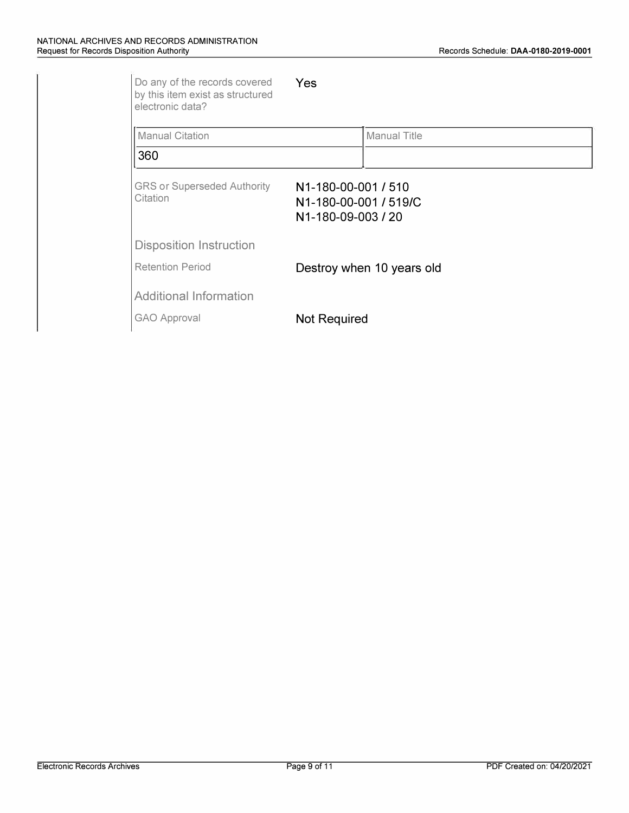| Do any of the records covered<br>by this item exist as structured<br>electronic data? | Yes                                                                |  |
|---------------------------------------------------------------------------------------|--------------------------------------------------------------------|--|
| <b>Manual Citation</b>                                                                | <b>Manual Title</b>                                                |  |
| 360                                                                                   |                                                                    |  |
| <b>GRS or Superseded Authority</b><br>Citation                                        | N1-180-00-001 / 510<br>N1-180-00-001 / 519/C<br>N1-180-09-003 / 20 |  |
| <b>Disposition Instruction</b>                                                        |                                                                    |  |
| <b>Retention Period</b>                                                               | Destroy when 10 years old                                          |  |
| <b>Additional Information</b>                                                         |                                                                    |  |
| <b>GAO Approval</b>                                                                   | <b>Not Required</b>                                                |  |